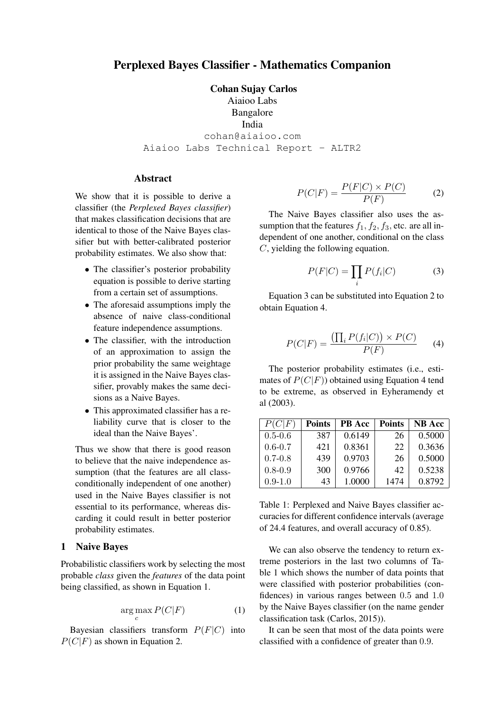# Perplexed Bayes Classifier - Mathematics Companion

Cohan Sujay Carlos Aiaioo Labs Bangalore India cohan@aiaioo.com Aiaioo Labs Technical Report - ALTR2

# **Abstract**

We show that it is possible to derive a classifier (the *Perplexed Bayes classifier*) that makes classification decisions that are identical to those of the Naive Bayes classifier but with better-calibrated posterior probability estimates. We also show that:

- The classifier's posterior probability equation is possible to derive starting from a certain set of assumptions.
- The aforesaid assumptions imply the absence of naive class-conditional feature independence assumptions.
- The classifier, with the introduction of an approximation to assign the prior probability the same weightage it is assigned in the Naive Bayes classifier, provably makes the same decisions as a Naive Bayes.
- This approximated classifier has a reliability curve that is closer to the ideal than the Naive Bayes'.

Thus we show that there is good reason to believe that the naive independence assumption (that the features are all classconditionally independent of one another) used in the Naive Bayes classifier is not essential to its performance, whereas discarding it could result in better posterior probability estimates.

#### 1 Naive Bayes

Probabilistic classifiers work by selecting the most probable *class* given the *features* of the data point being classified, as shown in Equation 1.

$$
\arg\max_{C} P(C|F) \tag{1}
$$

Bayesian classifiers transform  $P(F|C)$  into  $P(C|F)$  as shown in Equation 2.

$$
P(C|F) = \frac{P(F|C) \times P(C)}{P(F)}\tag{2}
$$

The Naive Bayes classifier also uses the assumption that the features  $f_1, f_2, f_3$ , etc. are all independent of one another, conditional on the class C, yielding the following equation.

$$
P(F|C) = \prod_{i} P(f_i|C)
$$
 (3)

Equation 3 can be substituted into Equation 2 to obtain Equation 4.

$$
P(C|F) = \frac{\left(\prod_{i} P(f_i|C)\right) \times P(C)}{P(F)} \tag{4}
$$

The posterior probability estimates (i.e., estimates of  $P(C|F)$ ) obtained using Equation 4 tend to be extreme, as observed in Eyheramendy et al (2003).

| P(C F)      | <b>Points</b> | <b>PB</b> Acc | <b>Points</b> | <b>NB</b> Acc |
|-------------|---------------|---------------|---------------|---------------|
| $0.5 - 0.6$ | 387           | 0.6149        | 26            | 0.5000        |
| $0.6 - 0.7$ | 421           | 0.8361        | 22            | 0.3636        |
| $0.7 - 0.8$ | 439           | 0.9703        | 26            | 0.5000        |
| $0.8 - 0.9$ | 300           | 0.9766        | 42            | 0.5238        |
| $0.9 - 1.0$ | 43            | 1.0000        | 1474          | 0.8792        |

Table 1: Perplexed and Naive Bayes classifier accuracies for different confidence intervals (average of 24.4 features, and overall accuracy of 0.85).

We can also observe the tendency to return extreme posteriors in the last two columns of Table 1 which shows the number of data points that were classified with posterior probabilities (confidences) in various ranges between 0.5 and 1.0 by the Naive Bayes classifier (on the name gender classification task (Carlos, 2015)).

It can be seen that most of the data points were classified with a confidence of greater than 0.9.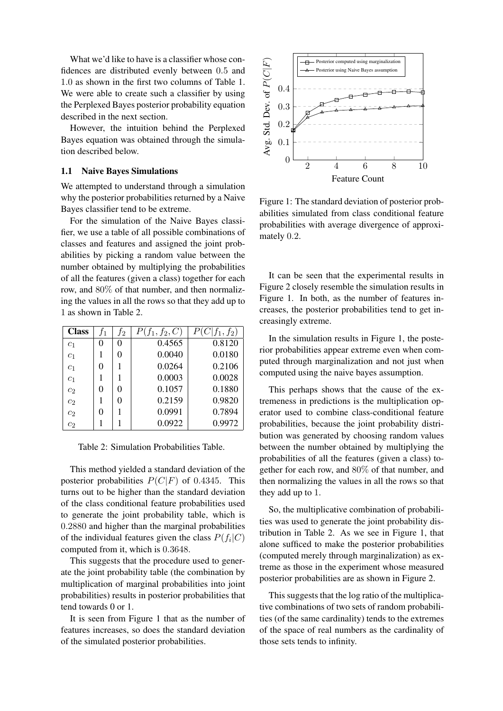What we'd like to have is a classifier whose confidences are distributed evenly between 0.5 and 1.0 as shown in the first two columns of Table 1. We were able to create such a classifier by using the Perplexed Bayes posterior probability equation described in the next section.

However, the intuition behind the Perplexed Bayes equation was obtained through the simulation described below.

### 1.1 Naive Bayes Simulations

We attempted to understand through a simulation why the posterior probabilities returned by a Naive Bayes classifier tend to be extreme.

For the simulation of the Naive Bayes classifier, we use a table of all possible combinations of classes and features and assigned the joint probabilities by picking a random value between the number obtained by multiplying the probabilities of all the features (given a class) together for each row, and 80% of that number, and then normalizing the values in all the rows so that they add up to 1 as shown in Table 2.

| <b>Class</b>     | $f_1$ | $f_2$ | $P(f_1, f_2, C)$ | $(C f_1, f_2)$ |
|------------------|-------|-------|------------------|----------------|
| c <sub>1</sub>   | 0     | 0     | 0.4565           | 0.8120         |
| c <sub>1</sub>   |       | 0     | 0.0040           | 0.0180         |
| c <sub>1</sub>   | 0     |       | 0.0264           | 0.2106         |
| c <sub>1</sub>   |       |       | 0.0003           | 0.0028         |
| c <sub>2</sub>   | 0     | 0     | 0.1057           | 0.1880         |
| c <sub>2</sub>   | 1     | 0     | 0.2159           | 0.9820         |
| c <sub>2</sub>   | 0     |       | 0.0991           | 0.7894         |
| $\overline{c_2}$ |       |       | 0.0922           | 0.9972         |

Table 2: Simulation Probabilities Table.

This method yielded a standard deviation of the posterior probabilities  $P(C|F)$  of 0.4345. This turns out to be higher than the standard deviation of the class conditional feature probabilities used to generate the joint probability table, which is 0.2880 and higher than the marginal probabilities of the individual features given the class  $P(f_i|C)$ computed from it, which is 0.3648.

This suggests that the procedure used to generate the joint probability table (the combination by multiplication of marginal probabilities into joint probabilities) results in posterior probabilities that tend towards 0 or 1.

It is seen from Figure 1 that as the number of features increases, so does the standard deviation of the simulated posterior probabilities.



Figure 1: The standard deviation of posterior probabilities simulated from class conditional feature probabilities with average divergence of approximately 0.2.

It can be seen that the experimental results in Figure 2 closely resemble the simulation results in Figure 1. In both, as the number of features increases, the posterior probabilities tend to get increasingly extreme.

In the simulation results in Figure 1, the posterior probabilities appear extreme even when computed through marginalization and not just when computed using the naive bayes assumption.

This perhaps shows that the cause of the extremeness in predictions is the multiplication operator used to combine class-conditional feature probabilities, because the joint probability distribution was generated by choosing random values between the number obtained by multiplying the probabilities of all the features (given a class) together for each row, and 80% of that number, and then normalizing the values in all the rows so that they add up to 1.

So, the multiplicative combination of probabilities was used to generate the joint probability distribution in Table 2. As we see in Figure 1, that alone sufficed to make the posterior probabilities (computed merely through marginalization) as extreme as those in the experiment whose measured posterior probabilities are as shown in Figure 2.

This suggests that the log ratio of the multiplicative combinations of two sets of random probabilities (of the same cardinality) tends to the extremes of the space of real numbers as the cardinality of those sets tends to infinity.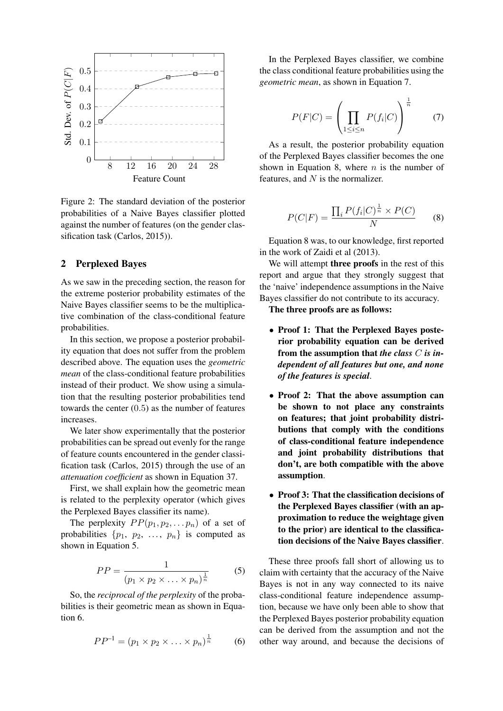

Figure 2: The standard deviation of the posterior probabilities of a Naive Bayes classifier plotted against the number of features (on the gender classification task (Carlos, 2015)).

# 2 Perplexed Bayes

As we saw in the preceding section, the reason for the extreme posterior probability estimates of the Naive Bayes classifier seems to be the multiplicative combination of the class-conditional feature probabilities.

In this section, we propose a posterior probability equation that does not suffer from the problem described above. The equation uses the *geometric mean* of the class-conditional feature probabilities instead of their product. We show using a simulation that the resulting posterior probabilities tend towards the center (0.5) as the number of features increases.

We later show experimentally that the posterior probabilities can be spread out evenly for the range of feature counts encountered in the gender classification task (Carlos, 2015) through the use of an *attenuation coefficient* as shown in Equation 37.

First, we shall explain how the geometric mean is related to the perplexity operator (which gives the Perplexed Bayes classifier its name).

The perplexity  $PP(p_1, p_2, \ldots, p_n)$  of a set of probabilities  $\{p_1, p_2, \ldots, p_n\}$  is computed as shown in Equation 5.

$$
PP = \frac{1}{(p_1 \times p_2 \times \ldots \times p_n)^{\frac{1}{n}}}
$$
 (5)

So, the *reciprocal of the perplexity* of the probabilities is their geometric mean as shown in Equation 6.

$$
PP^{-1} = (p_1 \times p_2 \times \ldots \times p_n)^{\frac{1}{n}} \tag{6}
$$

In the Perplexed Bayes classifier, we combine the class conditional feature probabilities using the *geometric mean*, as shown in Equation 7.

$$
P(F|C) = \left(\prod_{1 \le i \le n} P(f_i|C)\right)^{\frac{1}{n}} \tag{7}
$$

As a result, the posterior probability equation of the Perplexed Bayes classifier becomes the one shown in Equation 8, where  $n$  is the number of features, and  $N$  is the normalizer.

$$
P(C|F) = \frac{\prod_{i} P(f_i|C)^{\frac{1}{n}} \times P(C)}{N} \qquad (8)
$$

Equation 8 was, to our knowledge, first reported in the work of Zaidi et al (2013).

We will attempt **three proofs** in the rest of this report and argue that they strongly suggest that the 'naive' independence assumptions in the Naive Bayes classifier do not contribute to its accuracy.

The three proofs are as follows:

- Proof 1: That the Perplexed Bayes posterior probability equation can be derived from the assumption that *the class* C *is independent of all features but one, and none of the features is special*.
- Proof 2: That the above assumption can be shown to not place any constraints on features; that joint probability distributions that comply with the conditions of class-conditional feature independence and joint probability distributions that don't, are both compatible with the above assumption.
- Proof 3: That the classification decisions of the Perplexed Bayes classifier (with an approximation to reduce the weightage given to the prior) are identical to the classification decisions of the Naive Bayes classifier.

These three proofs fall short of allowing us to claim with certainty that the accuracy of the Naive Bayes is not in any way connected to its naive class-conditional feature independence assumption, because we have only been able to show that the Perplexed Bayes posterior probability equation can be derived from the assumption and not the other way around, and because the decisions of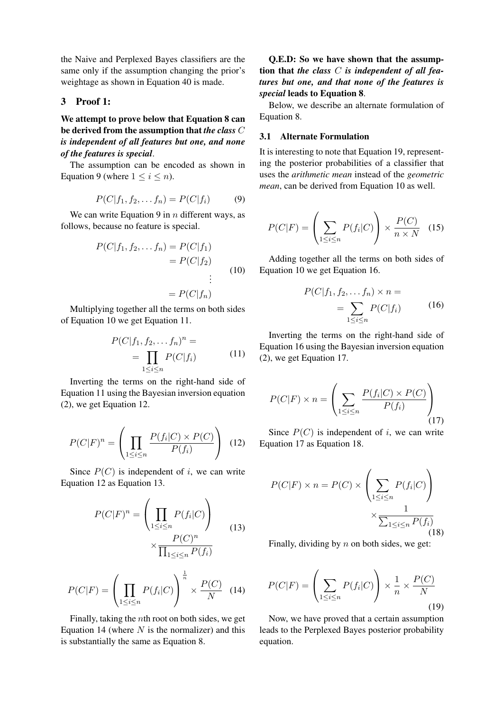the Naive and Perplexed Bayes classifiers are the same only if the assumption changing the prior's weightage as shown in Equation 40 is made.

### 3 Proof 1:

We attempt to prove below that Equation 8 can be derived from the assumption that *the class* C *is independent of all features but one, and none of the features is special*.

The assumption can be encoded as shown in Equation 9 (where  $1 \leq i \leq n$ ).

$$
P(C|f_1, f_2, \dots f_n) = P(C|f_i)
$$
 (9)

We can write Equation 9 in  $n$  different ways, as follows, because no feature is special.

$$
P(C|f_1, f_2, \dots f_n) = P(C|f_1)
$$

$$
= P(C|f_2)
$$

$$
\vdots
$$

$$
= P(C|f_n)
$$
(10)

Multiplying together all the terms on both sides of Equation 10 we get Equation 11.

$$
P(C|f_1, f_2, \dots f_n)^n =
$$
  
= 
$$
\prod_{1 \le i \le n} P(C|f_i)
$$
 (11)

Inverting the terms on the right-hand side of Equation 11 using the Bayesian inversion equation (2), we get Equation 12.

$$
P(C|F)^n = \left(\prod_{1 \le i \le n} \frac{P(f_i|C) \times P(C)}{P(f_i)}\right) \tag{12}
$$

Since  $P(C)$  is independent of i, we can write Equation 12 as Equation 13.

$$
P(C|F)^n = \left(\prod_{1 \le i \le n} P(f_i|C)\right)
$$

$$
\times \frac{P(C)^n}{\prod_{1 \le i \le n} P(f_i)}
$$
(13)

$$
P(C|F) = \left(\prod_{1 \le i \le n} P(f_i|C)\right)^{\frac{1}{n}} \times \frac{P(C)}{N} \quad (14)
$$

Finally, taking the nth root on both sides, we get Equation 14 (where  $N$  is the normalizer) and this is substantially the same as Equation 8.

# Q.E.D: So we have shown that the assumption that *the class* C *is independent of all features but one, and that none of the features is special* leads to Equation 8.

Below, we describe an alternate formulation of Equation 8.

### 3.1 Alternate Formulation

It is interesting to note that Equation 19, representing the posterior probabilities of a classifier that uses the *arithmetic mean* instead of the *geometric mean*, can be derived from Equation 10 as well.

$$
P(C|F) = \left(\sum_{1 \le i \le n} P(f_i|C)\right) \times \frac{P(C)}{n \times N} \quad (15)
$$

Adding together all the terms on both sides of Equation 10 we get Equation 16.

$$
P(C|f_1, f_2, \dots, f_n) \times n =
$$
  
= 
$$
\sum_{1 \le i \le n} P(C|f_i)
$$
 (16)

Inverting the terms on the right-hand side of Equation 16 using the Bayesian inversion equation (2), we get Equation 17.

$$
P(C|F) \times n = \left(\sum_{1 \le i \le n} \frac{P(f_i|C) \times P(C)}{P(f_i)}\right)
$$
\n(17)

Since  $P(C)$  is independent of i, we can write Equation 17 as Equation 18.

$$
P(C|F) \times n = P(C) \times \left(\sum_{1 \le i \le n} P(f_i|C)\right) \times \frac{1}{\sum_{1 \le i \le n} P(f_i)}
$$
(18)

Finally, dividing by  $n$  on both sides, we get:

$$
P(C|F) = \left(\sum_{1 \le i \le n} P(f_i|C)\right) \times \frac{1}{n} \times \frac{P(C)}{N}
$$
\n(19)

Now, we have proved that a certain assumption leads to the Perplexed Bayes posterior probability equation.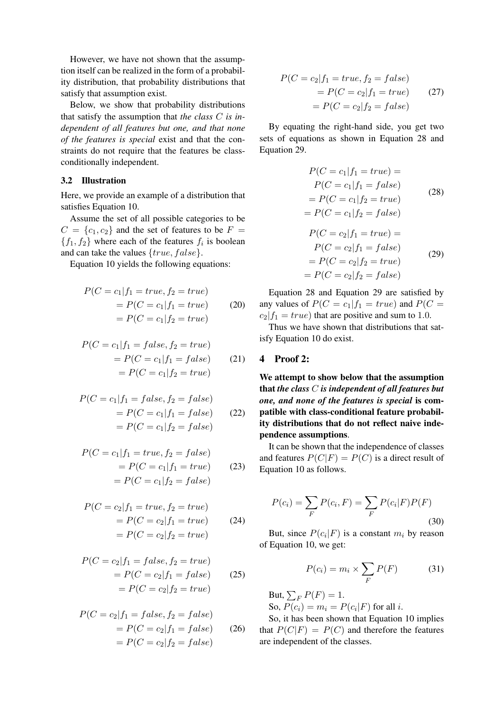However, we have not shown that the assumption itself can be realized in the form of a probability distribution, that probability distributions that satisfy that assumption exist.

Below, we show that probability distributions that satisfy the assumption that *the class* C *is independent of all features but one, and that none of the features is special* exist and that the constraints do not require that the features be classconditionally independent.

### 3.2 Illustration

Here, we provide an example of a distribution that satisfies Equation 10.

Assume the set of all possible categories to be  $C = \{c_1, c_2\}$  and the set of features to be  $F =$  $\{f_1, f_2\}$  where each of the features  $f_i$  is boolean and can take the values  $\{true, false\}$ .

Equation 10 yields the following equations:

$$
P(C = c1|f1 = true, f2 = true)
$$
  
= 
$$
P(C = c1|f1 = true)
$$
 (20)  
= 
$$
P(C = c1|f2 = true)
$$

$$
P(C = c_1 | f_1 = false, f_2 = true)
$$
  
= 
$$
P(C = c_1 | f_1 = false)
$$
 (21)  
= 
$$
P(C = c_1 | f_2 = true)
$$

$$
P(C = c_1 | f_1 = false, f_2 = false)
$$
  
= 
$$
P(C = c_1 | f_1 = false)
$$
 (22)  
= 
$$
P(C = c_1 | f_2 = false)
$$

$$
P(C = c_1 | f_1 = true, f_2 = false)
$$
  
= 
$$
P(C = c_1 | f_1 = true)
$$
 (23)  
= 
$$
P(C = c_1 | f_2 = false)
$$

$$
P(C = c_2 | f_1 = true, f_2 = true)
$$
  
= 
$$
P(C = c_2 | f_1 = true)
$$
 (24)  
= 
$$
P(C = c_2 | f_2 = true)
$$

$$
P(C = c_2 | f_1 = false, f_2 = true)
$$
  
= 
$$
P(C = c_2 | f_1 = false)
$$
 (25)  
= 
$$
P(C = c_2 | f_2 = true)
$$

$$
P(C = c_2 | f_1 = false, f_2 = false)
$$
  
= 
$$
P(C = c_2 | f_1 = false)
$$
 (26)  
= 
$$
P(C = c_2 | f_2 = false)
$$

$$
P(C = c_2 | f_1 = true, f_2 = false)
$$
  
= 
$$
P(C = c_2 | f_1 = true)
$$
 (27)  
= 
$$
P(C = c_2 | f_2 = false)
$$

By equating the right-hand side, you get two sets of equations as shown in Equation 28 and Equation 29.

$$
P(C = c_1 | f_1 = true) =
$$
  
\n
$$
P(C = c_1 | f_1 = false)
$$
  
\n
$$
= P(C = c_1 | f_2 = true)
$$
  
\n
$$
= P(C = c_1 | f_2 = false)
$$
  
\n
$$
P(C = c_2 | f_1 = true) =
$$
  
\n
$$
P(C = c_2 | f_2 = true)
$$
  
\n
$$
= P(C = c_2 | f_2 = false)
$$
  
\n(29)  
\n(29)

Equation 28 and Equation 29 are satisfied by any values of  $P(C = c_1 | f_1 = true)$  and  $P(C = c_1 | f_2 = true)$  $c_2|f_1 = true$ ) that are positive and sum to 1.0.

Thus we have shown that distributions that satisfy Equation 10 do exist.

## 4 Proof 2:

We attempt to show below that the assumption that *the class* C *is independent of all features but one, and none of the features is special* is compatible with class-conditional feature probability distributions that do not reflect naive independence assumptions.

It can be shown that the independence of classes and features  $P(C|F) = P(C)$  is a direct result of Equation 10 as follows.

$$
P(c_i) = \sum_{F} P(c_i, F) = \sum_{F} P(c_i|F)P(F)
$$
\n(30)

But, since  $P(c_i|F)$  is a constant  $m_i$  by reason of Equation 10, we get:

$$
P(c_i) = m_i \times \sum_F P(F) \tag{31}
$$

But,  $\sum_{F} P(F) = 1$ . So,  $P(c_i) = m_i = P(c_i|F)$  for all *i*.

So, it has been shown that Equation 10 implies that  $P(C|F) = P(C)$  and therefore the features are independent of the classes.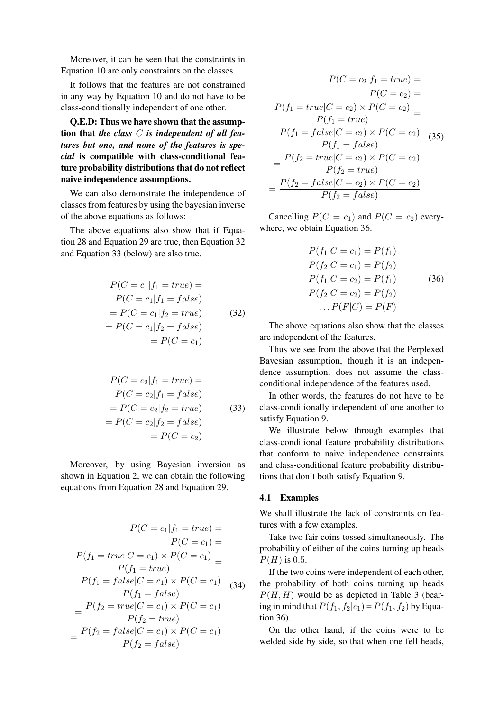Moreover, it can be seen that the constraints in Equation 10 are only constraints on the classes.

It follows that the features are not constrained in any way by Equation 10 and do not have to be class-conditionally independent of one other.

Q.E.D: Thus we have shown that the assumption that *the class* C *is independent of all features but one, and none of the features is special* is compatible with class-conditional feature probability distributions that do not reflect naive independence assumptions.

We can also demonstrate the independence of classes from features by using the bayesian inverse of the above equations as follows:

The above equations also show that if Equation 28 and Equation 29 are true, then Equation 32 and Equation 33 (below) are also true.

$$
P(C = c_1 | f_1 = true) =
$$
  
\n
$$
P(C = c_1 | f_1 = false)
$$
  
\n
$$
= P(C = c_1 | f_2 = true)
$$
(32)  
\n
$$
= P(C = c_1)
$$
  
\n
$$
= P(C = c_1)
$$

$$
P(C = c_2 | f_1 = true) =
$$
  
\n
$$
P(C = c_2 | f_1 = false)
$$
  
\n
$$
= P(C = c_2 | f_2 = true)
$$
(33)  
\n
$$
= P(C = c_2)
$$
  
\n
$$
= P(C = c_2)
$$

Moreover, by using Bayesian inversion as shown in Equation 2, we can obtain the following equations from Equation 28 and Equation 29.

$$
P(C = c_1 | f_1 = true) =
$$
  
\n
$$
P(C = c_1) =
$$
  
\n
$$
\frac{P(f_1 = true | C = c_1) \times P(C = c_1)}{P(f_1 = true)} =
$$
  
\n
$$
\frac{P(f_1 = false | C = c_1) \times P(C = c_1)}{P(f_1 = false)}
$$
  
\n
$$
= \frac{P(f_2 = true | C = c_1) \times P(C = c_1)}{P(f_2 = true)}
$$
  
\n
$$
= \frac{P(f_2 = false | C = c_1) \times P(C = c_1)}{P(f_2 = false)}
$$

$$
P(C = c_2 | f_1 = true) =
$$

$$
P(C = c_2) =
$$

$$
\frac{P(f_1 = true | C = c_2) \times P(C = c_2)}{P(f_1 = true)} =
$$

$$
\frac{P(f_1 = false | C = c_2) \times P(C = c_2)}{P(f_1 = false)}
$$
(35)
$$
= \frac{P(f_2 = true | C = c_2) \times P(C = c_2)}{P(f_2 = true)}
$$

$$
= \frac{P(f_2 = false | C = c_2) \times P(C = c_2)}{P(f_2 = false)}
$$

Cancelling  $P(C = c_1)$  and  $P(C = c_2)$  everywhere, we obtain Equation 36.

$$
P(f_1|C = c_1) = P(f_1)
$$
  
\n
$$
P(f_2|C = c_1) = P(f_2)
$$
  
\n
$$
P(f_1|C = c_2) = P(f_1)
$$
  
\n
$$
P(f_2|C = c_2) = P(f_2)
$$
  
\n
$$
\dots P(F|C) = P(F)
$$

The above equations also show that the classes are independent of the features.

Thus we see from the above that the Perplexed Bayesian assumption, though it is an independence assumption, does not assume the classconditional independence of the features used.

In other words, the features do not have to be class-conditionally independent of one another to satisfy Equation 9.

We illustrate below through examples that class-conditional feature probability distributions that conform to naive independence constraints and class-conditional feature probability distributions that don't both satisfy Equation 9.

### 4.1 Examples

We shall illustrate the lack of constraints on features with a few examples.

Take two fair coins tossed simultaneously. The probability of either of the coins turning up heads  $P(H)$  is 0.5.

If the two coins were independent of each other, the probability of both coins turning up heads  $P(H, H)$  would be as depicted in Table 3 (bearing in mind that  $P(f_1, f_2|c_1) = P(f_1, f_2)$  by Equation 36).

On the other hand, if the coins were to be welded side by side, so that when one fell heads,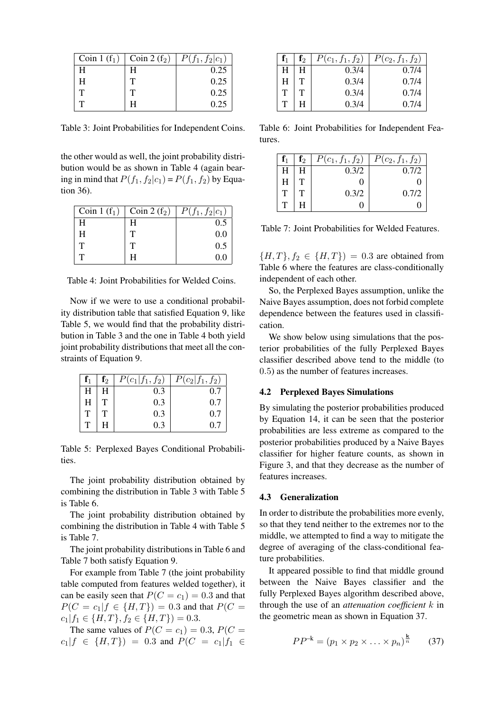| $\vert$ Coin 1 (f <sub>1</sub> ) | $\vert$ Coin 2 (f <sub>2</sub> ) | $  P(f_1, f_2   c_1)$ |
|----------------------------------|----------------------------------|-----------------------|
| H                                | н                                | 0.25                  |
| н                                |                                  | 0.25                  |
|                                  |                                  | 0.25                  |
|                                  |                                  | 0.25                  |

Table 3: Joint Probabilities for Independent Coins.

the other would as well, the joint probability distribution would be as shown in Table 4 (again bearing in mind that  $P(f_1, f_2|c_1) = P(f_1, f_2)$  by Equation 36).

| Coin 1 $(f_1)$ | Coin 2 $(f_2)$ | $P(f_1, f_2 c_1)$ |
|----------------|----------------|-------------------|
| Н              | H              | 0.5               |
| H              | т              | 0.0               |
| т              | Т              | 0.5               |
|                | н              | 0.0               |

Table 4: Joint Probabilities for Welded Coins.

Now if we were to use a conditional probability distribution table that satisfied Equation 9, like Table 5, we would find that the probability distribution in Table 3 and the one in Table 4 both yield joint probability distributions that meet all the constraints of Equation 9.

| $\mathbf{f}_1$ | $\mathbf{f}_2$ | $P(c_1 f_1, f_2)$ | $P(c_2 f_1, f_2)$ |
|----------------|----------------|-------------------|-------------------|
| H              |                |                   |                   |
| H              |                | 0.3               | 0.7               |
| $\mathbf{T}$   |                | 0.3               | 0.7               |
| $\mathbf T$    |                | 0.3               | 0.7               |

Table 5: Perplexed Bayes Conditional Probabilities.

The joint probability distribution obtained by combining the distribution in Table 3 with Table 5 is Table 6.

The joint probability distribution obtained by combining the distribution in Table 4 with Table 5 is Table 7.

The joint probability distributions in Table 6 and Table 7 both satisfy Equation 9.

For example from Table 7 (the joint probability table computed from features welded together), it can be easily seen that  $P(C = c_1) = 0.3$  and that  $P(C = c_1 | f \in \{H, T\}) = 0.3$  and that  $P(C =$  $c_1|f_1 \in \{H, T\}, f_2 \in \{H, T\}$  = 0.3.

The same values of  $P(C = c_1) = 0.3$ ,  $P(C = c_1)$  $c_1|f \in \{H,T\}) = 0.3$  and  $P(C = c_1|f_1 \in$ 

| $\mathbf{f}_1$ | $\mathbf{f}_2$ | $P(c_1, f_1, f_2)$ | $P(c_2, f_1, f_2)$ |
|----------------|----------------|--------------------|--------------------|
| H              | H              | 0.3/4              | 0.7/4              |
| Н              | Т              | 0.3/4              | 0.7/4              |
| Т              |                | 0.3/4              | 0.7/4              |
|                |                | 0.3/4              | 0.7/4              |

Table 6: Joint Probabilities for Independent Features.

| $\mathbf{f}_1$ | $\mathbf{f}_2$ | $P(c_1, f_1, f_2)$ | $P(c_2, f_1, f_2)$ |
|----------------|----------------|--------------------|--------------------|
| H              |                | 0.3/2              | 0.7/2              |
| H              |                |                    |                    |
| т              |                | 0.3/2              | 0.7/2              |
| $\mathbf{T}$   |                |                    |                    |

Table 7: Joint Probabilities for Welded Features.

 ${H, T}, f_2 \in {H, T}$  = 0.3 are obtained from Table 6 where the features are class-conditionally independent of each other.

So, the Perplexed Bayes assumption, unlike the Naive Bayes assumption, does not forbid complete dependence between the features used in classification.

We show below using simulations that the posterior probabilities of the fully Perplexed Bayes classifier described above tend to the middle (to 0.5) as the number of features increases.

### 4.2 Perplexed Bayes Simulations

By simulating the posterior probabilities produced by Equation 14, it can be seen that the posterior probabilities are less extreme as compared to the posterior probabilities produced by a Naive Bayes classifier for higher feature counts, as shown in Figure 3, and that they decrease as the number of features increases.

#### 4.3 Generalization

In order to distribute the probabilities more evenly, so that they tend neither to the extremes nor to the middle, we attempted to find a way to mitigate the degree of averaging of the class-conditional feature probabilities.

It appeared possible to find that middle ground between the Naive Bayes classifier and the fully Perplexed Bayes algorithm described above, through the use of an *attenuation coefficient* k in the geometric mean as shown in Equation 37.

$$
PP^{-k} = (p_1 \times p_2 \times \ldots \times p_n)^{\frac{k}{n}} \qquad (37)
$$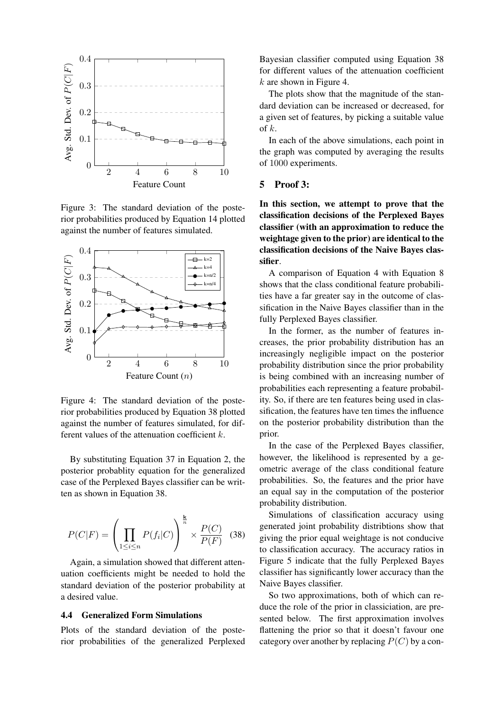

Figure 3: The standard deviation of the posterior probabilities produced by Equation 14 plotted against the number of features simulated.



Figure 4: The standard deviation of the posterior probabilities produced by Equation 38 plotted against the number of features simulated, for different values of the attenuation coefficient k.

By substituting Equation 37 in Equation 2, the posterior probablity equation for the generalized case of the Perplexed Bayes classifier can be written as shown in Equation 38.

$$
P(C|F) = \left(\prod_{1 \le i \le n} P(f_i|C)\right)^{\frac{k}{n}} \times \frac{P(C)}{P(F)} \quad (38)
$$

Again, a simulation showed that different attenuation coefficients might be needed to hold the standard deviation of the posterior probability at a desired value.

### 4.4 Generalized Form Simulations

Plots of the standard deviation of the posterior probabilities of the generalized Perplexed

Bayesian classifier computed using Equation 38 for different values of the attenuation coefficient  $k$  are shown in Figure 4.

The plots show that the magnitude of the standard deviation can be increased or decreased, for a given set of features, by picking a suitable value of  $k$ .

In each of the above simulations, each point in the graph was computed by averaging the results of 1000 experiments.

### 5 Proof 3:

In this section, we attempt to prove that the classification decisions of the Perplexed Bayes classifier (with an approximation to reduce the weightage given to the prior) are identical to the classification decisions of the Naive Bayes classifier.

A comparison of Equation 4 with Equation 8 shows that the class conditional feature probabilities have a far greater say in the outcome of classification in the Naive Bayes classifier than in the fully Perplexed Bayes classifier.

In the former, as the number of features increases, the prior probability distribution has an increasingly negligible impact on the posterior probability distribution since the prior probability is being combined with an increasing number of probabilities each representing a feature probability. So, if there are ten features being used in classification, the features have ten times the influence on the posterior probability distribution than the prior.

In the case of the Perplexed Bayes classifier, however, the likelihood is represented by a geometric average of the class conditional feature probabilities. So, the features and the prior have an equal say in the computation of the posterior probability distribution.

Simulations of classification accuracy using generated joint probability distribtions show that giving the prior equal weightage is not conducive to classification accuracy. The accuracy ratios in Figure 5 indicate that the fully Perplexed Bayes classifier has significantly lower accuracy than the Naive Bayes classifier.

So two approximations, both of which can reduce the role of the prior in classiciation, are presented below. The first approximation involves flattening the prior so that it doesn't favour one category over another by replacing  $P(C)$  by a con-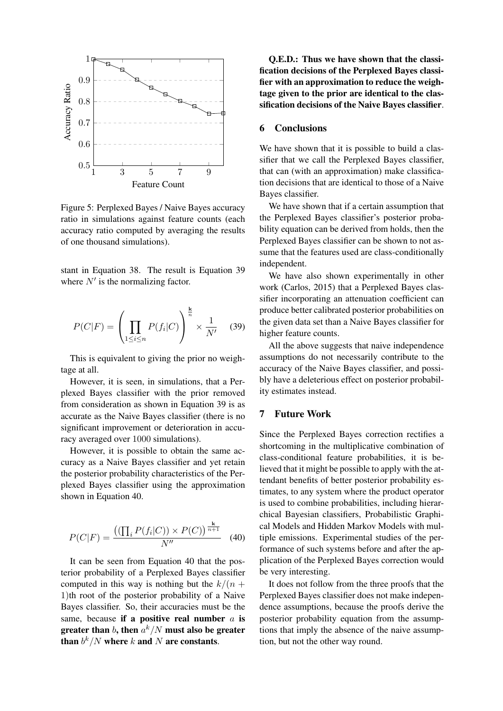

Figure 5: Perplexed Bayes / Naive Bayes accuracy ratio in simulations against feature counts (each accuracy ratio computed by averaging the results of one thousand simulations).

stant in Equation 38. The result is Equation 39 where  $N'$  is the normalizing factor.

$$
P(C|F) = \left(\prod_{1 \le i \le n} P(f_i|C)\right)^{\frac{k}{n}} \times \frac{1}{N'} \quad (39)
$$

This is equivalent to giving the prior no weightage at all.

However, it is seen, in simulations, that a Perplexed Bayes classifier with the prior removed from consideration as shown in Equation 39 is as accurate as the Naive Bayes classifier (there is no significant improvement or deterioration in accuracy averaged over 1000 simulations).

However, it is possible to obtain the same accuracy as a Naive Bayes classifier and yet retain the posterior probability characteristics of the Perplexed Bayes classifier using the approximation shown in Equation 40.

$$
P(C|F) = \frac{((\prod_{i} P(f_i|C)) \times P(C))^{\frac{k}{n+1}}}{N''}
$$
 (40)

It can be seen from Equation 40 that the posterior probability of a Perplexed Bayes classifier computed in this way is nothing but the  $k/(n +$ 1)th root of the posterior probability of a Naive Bayes classifier. So, their accuracies must be the same, because if a positive real number  $a$  is greater than  $b$ , then  $a^k/N$  must also be greater than  $b^k/N$  where  $k$  and  $N$  are constants.

Q.E.D.: Thus we have shown that the classification decisions of the Perplexed Bayes classifier with an approximation to reduce the weightage given to the prior are identical to the classification decisions of the Naive Bayes classifier.

## 6 Conclusions

We have shown that it is possible to build a classifier that we call the Perplexed Bayes classifier, that can (with an approximation) make classification decisions that are identical to those of a Naive Bayes classifier.

We have shown that if a certain assumption that the Perplexed Bayes classifier's posterior probability equation can be derived from holds, then the Perplexed Bayes classifier can be shown to not assume that the features used are class-conditionally independent.

We have also shown experimentally in other work (Carlos, 2015) that a Perplexed Bayes classifier incorporating an attenuation coefficient can produce better calibrated posterior probabilities on the given data set than a Naive Bayes classifier for higher feature counts.

All the above suggests that naive independence assumptions do not necessarily contribute to the accuracy of the Naive Bayes classifier, and possibly have a deleterious effect on posterior probability estimates instead.

# 7 Future Work

Since the Perplexed Bayes correction rectifies a shortcoming in the multiplicative combination of class-conditional feature probabilities, it is believed that it might be possible to apply with the attendant benefits of better posterior probability estimates, to any system where the product operator is used to combine probabilities, including hierarchical Bayesian classifiers, Probabilistic Graphical Models and Hidden Markov Models with multiple emissions. Experimental studies of the performance of such systems before and after the application of the Perplexed Bayes correction would be very interesting.

It does not follow from the three proofs that the Perplexed Bayes classifier does not make independence assumptions, because the proofs derive the posterior probability equation from the assumptions that imply the absence of the naive assumption, but not the other way round.